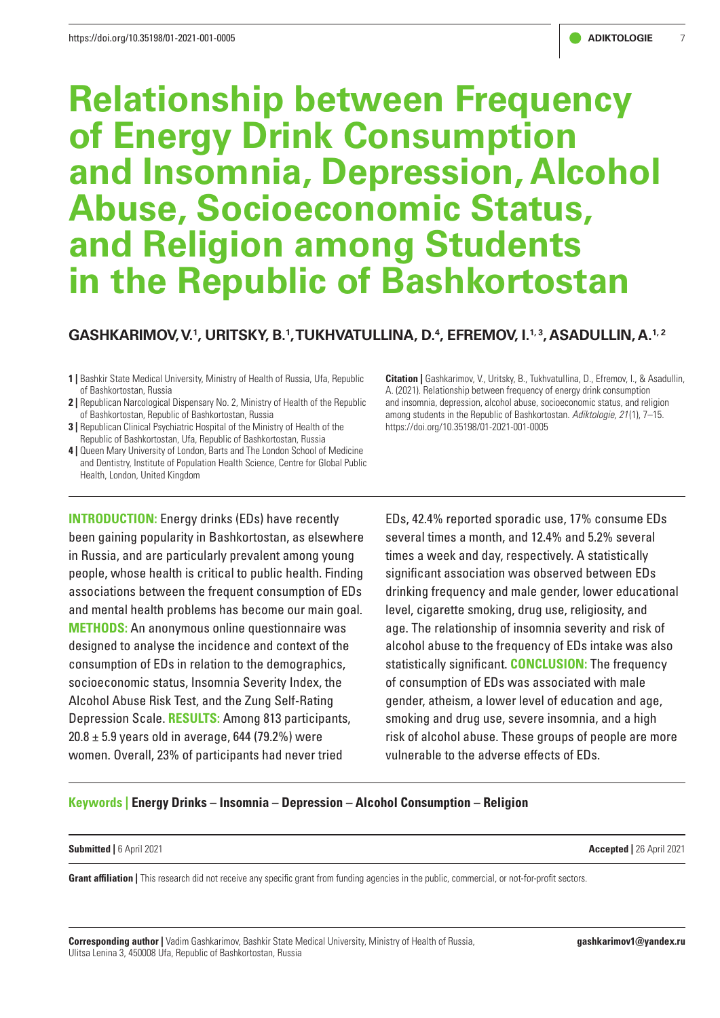# **Relationship between Frequency of Energy Drink Consumption and Insomnia, Depression, Alcohol Abuse, Socioeconomic Status, and Religion among Students in the Republic of Bashkortostan**

# GASHKARIMOV, V.<sup>1</sup>, URITSKY, B.<sup>1</sup>, TUKHVATULLINA, D.<sup>4</sup>, EFREMOV, I.<sup>1, 3</sup>, ASADULLIN, A.<sup>1, 2</sup>

- **1 |** Bashkir State Medical University, Ministry of Health of Russia, Ufa, Republic of Bashkortostan, Russia
- **2 |** Republican Narcological Dispensary No. 2, Ministry of Health of the Republic of Bashkortostan, Republic of Bashkortostan, Russia
- **3 |** Republican Clinical Psychiatric Hospital of the Ministry of Health of the Republic of Bashkortostan, Ufa, Republic of Bashkortostan, Russia
- **4 |** Queen Mary University of London, Barts and The London School of Medicine and Dentistry, Institute of Population Health Science, Centre for Global Public Health, London, United Kingdom

**INTRODUCTION:** Energy drinks (EDs) have recently been gaining popularity in Bashkortostan, as elsewhere in Russia, and are particularly prevalent among young people, whose health is critical to public health. Finding associations between the frequent consumption of EDs and mental health problems has become our main goal. **METHODS:** An anonymous online questionnaire was designed to analyse the incidence and context of the consumption of EDs in relation to the demographics, socioeconomic status, Insomnia Severity Index, the Alcohol Abuse Risk Test, and the Zung Self-Rating Depression Scale. **RESULTS:** Among 813 participants,  $20.8 \pm 5.9$  years old in average, 644 (79.2%) were women. Overall, 23% of participants had never tried

**Citation |** Gashkarimov, V., Uritsky, B., Tukhvatullina, D., Efremov, I., & Asadullin, A. (2021). Relationship between frequency of energy drink consumption and insomnia, depression, alcohol abuse, socioeconomic status, and religion among students in the Republic of Bashkortostan. *Adiktologie, 21* (1), 7–15. https://doi.org/10.35198/01-2021-001-0005

EDs, 42.4% reported sporadic use, 17% consume EDs several times a month, and 12.4% and 5.2% several times a week and day, respectively. A statistically significant association was observed between EDs drinking frequency and male gender, lower educational level, cigarette smoking, drug use, religiosity, and age. The relationship of insomnia severity and risk of alcohol abuse to the frequency of EDs intake was also statistically significant. **CONCLUSION:** The frequency of consumption of EDs was associated with male gender, atheism, a lower level of education and age, smoking and drug use, severe insomnia, and a high risk of alcohol abuse. These groups of people are more vulnerable to the adverse effects of EDs.

# **Keywords | Energy Drinks – Insomnia – Depression – Alcohol Consumption – Religion**

#### **Submitted |** 6 April 2021 **Accepted |** 26 April 2021

Grant affiliation | This research did not receive any specific grant from funding agencies in the public, commercial, or not-for-profit sectors.

**Corresponding author |** Vadim Gashkarimov, Bashkir State Medical University, Ministry of Health of Russia, Ulitsa Lenina 3, 450008 Ufa, Republic of Bashkortostan, Russia

**[gashkarimov1@yandex.ru](mailto:gashkarimov1@yandex.ru)**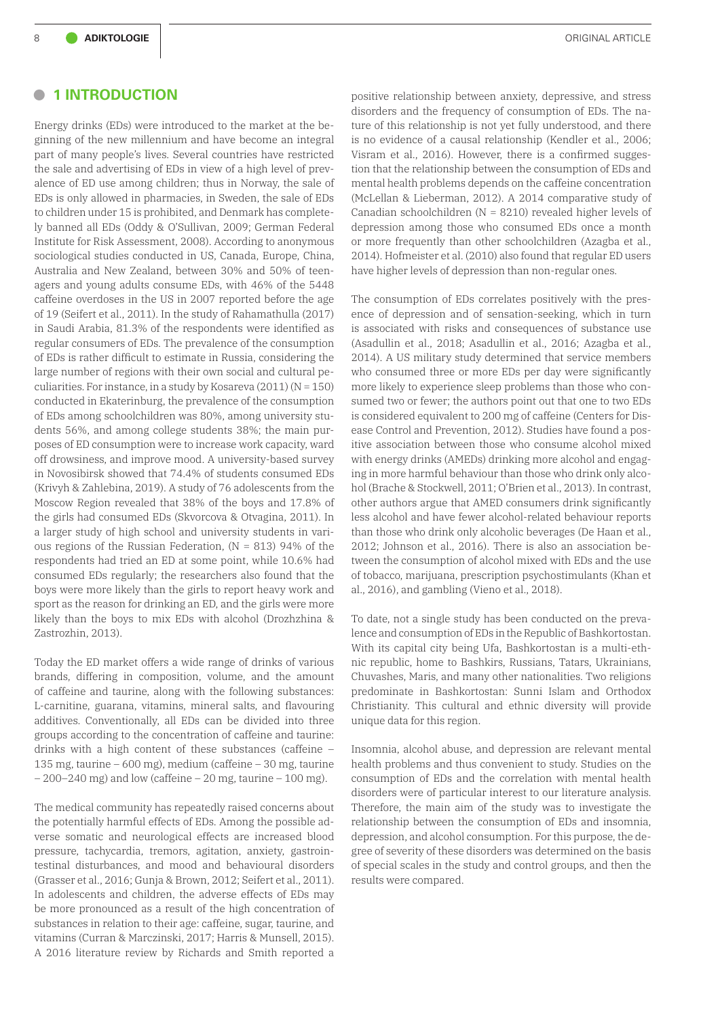### **• 1 INTRODUCTION**

Energy drinks (EDs) were introduced to the market at the beginning of the new millennium and have become an integral part of many people's lives. Several countries have restricted the sale and advertising of EDs in view of a high level of prevalence of ED use among children; thus in Norway, the sale of EDs is only allowed in pharmacies, in Sweden, the sale of EDs to children under 15 is prohibited, and Denmark has completely banned all EDs (Oddy & O'Sullivan, 2009; German Federal Institute for Risk Assessment, 2008). According to anonymous sociological studies conducted in US, Canada, Europe, China, Australia and New Zealand, between 30% and 50% of teenagers and young adults consume EDs, with 46% of the 5448 caffeine overdoses in the US in 2007 reported before the age of 19 (Seifert et al., 2011). In the study of Rahamathulla (2017) in Saudi Arabia, 81.3% of the respondents were identified as regular consumers of EDs. The prevalence of the consumption of EDs is rather difficult to estimate in Russia, considering the large number of regions with their own social and cultural peculiarities. For instance, in a study by Kosareva (2011) (N = 150) conducted in Ekaterinburg, the prevalence of the consumption of EDs among schoolchildren was 80%, among university students 56%, and among college students 38%; the main purposes of ED consumption were to increase work capacity, ward off drowsiness, and improve mood. A university-based survey in Novosibirsk showed that 74.4% of students consumed EDs (Krivyh & Zahlebina, 2019). A study of 76 adolescents from the Moscow Region revealed that 38% of the boys and 17.8% of the girls had consumed EDs (Skvorcova & Otvagina, 2011). In a larger study of high school and university students in various regions of the Russian Federation, (N = 813) 94% of the respondents had tried an ED at some point, while 10.6% had consumed EDs regularly; the researchers also found that the boys were more likely than the girls to report heavy work and sport as the reason for drinking an ED, and the girls were more likely than the boys to mix EDs with alcohol (Drozhzhina & Zastrozhin, 2013).

Today the ED market offers a wide range of drinks of various brands, differing in composition, volume, and the amount of caffeine and taurine, along with the following substances: L-carnitine, guarana, vitamins, mineral salts, and flavouring additives. Conventionally, all EDs can be divided into three groups according to the concentration of caffeine and taurine: drinks with a high content of these substances (caffeine – 135 mg, taurine – 600 mg), medium (caffeine – 30 mg, taurine  $-200-240$  mg) and low (caffeine  $-20$  mg, taurine  $-100$  mg).

The medical community has repeatedly raised concerns about the potentially harmful effects of EDs. Among the possible adverse somatic and neurological effects are increased blood pressure, tachycardia, tremors, agitation, anxiety, gastrointestinal disturbances, and mood and behavioural disorders (Grasser et al., 2016; Gunja & Brown, 2012; Seifert et al., 2011). In adolescents and children, the adverse effects of EDs may be more pronounced as a result of the high concentration of substances in relation to their age: caffeine, sugar, taurine, and vitamins (Curran & Marczinski, 2017; Harris & Munsell, 2015). A 2016 literature review by Richards and Smith reported a

positive relationship between anxiety, depressive, and stress disorders and the frequency of consumption of EDs. The nature of this relationship is not yet fully understood, and there is no evidence of a causal relationship (Kendler et al., 2006; Visram et al., 2016). However, there is a confirmed suggestion that the relationship between the consumption of EDs and mental health problems depends on the caffeine concentration (McLellan & Lieberman, 2012). A 2014 comparative study of Canadian schoolchildren (N = 8210) revealed higher levels of depression among those who consumed EDs once a month or more frequently than other schoolchildren (Azagba et al., 2014). Hofmeister et al. (2010) also found that regular ED users have higher levels of depression than non-regular ones.

The consumption of EDs correlates positively with the presence of depression and of sensation-seeking, which in turn is associated with risks and consequences of substance use (Asadullin et al., 2018; Asadullin et al., 2016; Azagba et al., 2014). A US military study determined that service members who consumed three or more EDs per day were significantly more likely to experience sleep problems than those who consumed two or fewer; the authors point out that one to two EDs is considered equivalent to 200 mg of caffeine (Centers for Disease Control and Prevention, 2012). Studies have found a positive association between those who consume alcohol mixed with energy drinks (AMEDs) drinking more alcohol and engaging in more harmful behaviour than those who drink only alcohol (Brache & Stockwell, 2011; O'Brien et al., 2013). In contrast, other authors argue that AMED consumers drink significantly less alcohol and have fewer alcohol-related behaviour reports than those who drink only alcoholic beverages (De Haan et al., 2012; Johnson et al., 2016). There is also an association between the consumption of alcohol mixed with EDs and the use of tobacco, marijuana, prescription psychostimulants (Khan et al., 2016), and gambling (Vieno et al., 2018).

To date, not a single study has been conducted on the prevalence and consumption of EDs in the Republic of Bashkortostan. With its capital city being Ufa, Bashkortostan is a multi-ethnic republic, home to Bashkirs, Russians, Tatars, Ukrainians, Chuvashes, Maris, and many other nationalities. Two religions predominate in Bashkortostan: Sunni Islam and Orthodox Christianity. This cultural and ethnic diversity will provide unique data for this region.

Insomnia, alcohol abuse, and depression are relevant mental health problems and thus convenient to study. Studies on the consumption of EDs and the correlation with mental health disorders were of particular interest to our literature analysis. Therefore, the main aim of the study was to investigate the relationship between the consumption of EDs and insomnia, depression, and alcohol consumption. For this purpose, the degree of severity of these disorders was determined on the basis of special scales in the study and control groups, and then the results were compared.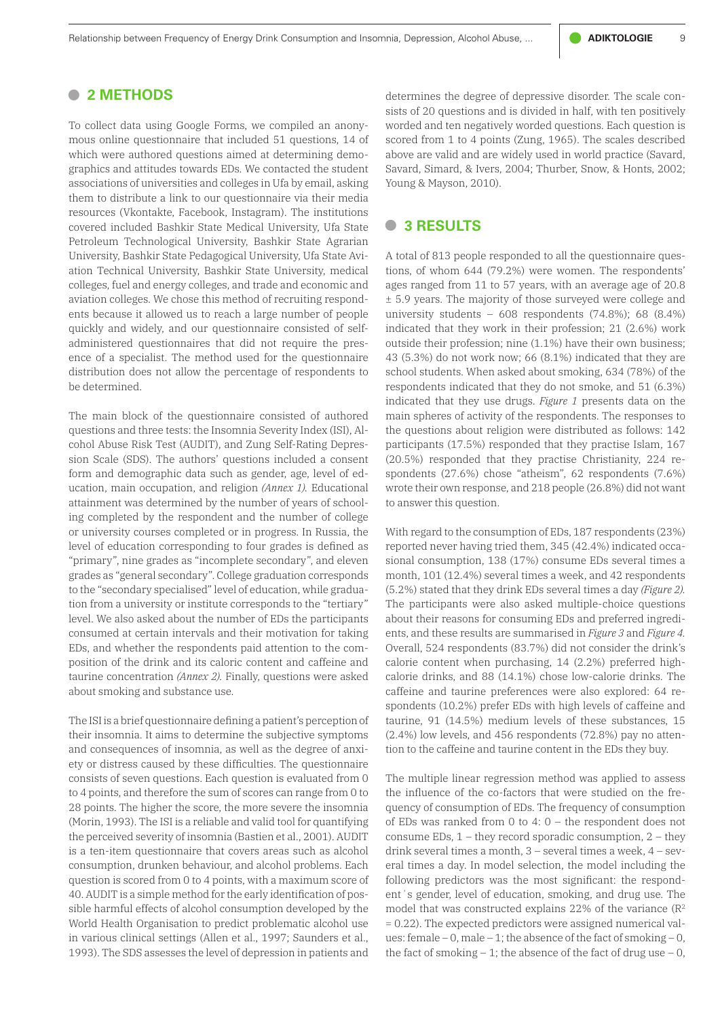Relationship between Frequency of Energy Drink Consumption and Insomnia, Depression, Alcohol Abuse, ... **ADIKTOLOGIE** 9

# **• 2 METHODS**

To collect data using Google Forms, we compiled an anonymous online questionnaire that included 51 questions, 14 of which were authored questions aimed at determining demographics and attitudes towards EDs. We contacted the student associations of universities and colleges in Ufa by email, asking them to distribute a link to our questionnaire via their media resources (Vkontakte, Facebook, Instagram). The institutions covered included Bashkir State Medical University, Ufa State Petroleum Technological University, Bashkir State Agrarian University, Bashkir State Pedagogical University, Ufa State Aviation Technical University, Bashkir State University, medical colleges, fuel and energy colleges, and trade and economic and aviation colleges. We chose this method of recruiting respondents because it allowed us to reach a large number of people quickly and widely, and our questionnaire consisted of selfadministered questionnaires that did not require the presence of a specialist. The method used for the questionnaire distribution does not allow the percentage of respondents to be determined.

The main block of the questionnaire consisted of authored questions and three tests: the Insomnia Severity Index (ISI), Alcohol Abuse Risk Test (AUDIT), and Zung Self-Rating Depression Scale (SDS). The authors' questions included a consent form and demographic data such as gender, age, level of education, main occupation, and religion *(Annex 1).* Educational attainment was determined by the number of years of schooling completed by the respondent and the number of college or university courses completed or in progress. In Russia, the level of education corresponding to four grades is defined as "primary", nine grades as "incomplete secondary", and eleven grades as "general secondary". College graduation corresponds to the "secondary specialised" level of education, while graduation from a university or institute corresponds to the "tertiary" level. We also asked about the number of EDs the participants consumed at certain intervals and their motivation for taking EDs, and whether the respondents paid attention to the composition of the drink and its caloric content and caffeine and taurine concentration *(Annex 2).* Finally, questions were asked about smoking and substance use.

The ISI is a brief questionnaire defining a patient's perception of their insomnia. It aims to determine the subjective symptoms and consequences of insomnia, as well as the degree of anxiety or distress caused by these difficulties. The questionnaire consists of seven questions. Each question is evaluated from 0 to 4 points, and therefore the sum of scores can range from 0 to 28 points. The higher the score, the more severe the insomnia (Morin, 1993). The ISI is a reliable and valid tool for quantifying the perceived severity of insomnia (Bastien et al., 2001). AUDIT is a ten-item questionnaire that covers areas such as alcohol consumption, drunken behaviour, and alcohol problems. Each question is scored from 0 to 4 points, with a maximum score of 40. AUDIT is a simple method for the early identification of possible harmful effects of alcohol consumption developed by the World Health Organisation to predict problematic alcohol use in various clinical settings (Allen et al., 1997; Saunders et al., 1993). The SDS assesses the level of depression in patients and

determines the degree of depressive disorder. The scale consists of 20 questions and is divided in half, with ten positively worded and ten negatively worded questions. Each question is scored from 1 to 4 points (Zung, 1965). The scales described above are valid and are widely used in world practice (Savard, Savard, Simard, & Ivers, 2004; Thurber, Snow, & Honts, 2002; Young & Mayson, 2010).

## **• 3 RESULTS**

A total of 813 people responded to all the questionnaire questions, of whom 644 (79.2%) were women. The respondents' ages ranged from 11 to 57 years, with an average age of 20.8 ± 5.9 years. The majority of those surveyed were college and university students – 608 respondents  $(74.8\%)$ ; 68  $(8.4\%)$ indicated that they work in their profession; 21 (2.6%) work outside their profession; nine (1.1%) have their own business; 43 (5.3%) do not work now; 66 (8.1%) indicated that they are school students. When asked about smoking, 634 (78%) of the respondents indicated that they do not smoke, and 51 (6.3%) indicated that they use drugs. *Figure 1* presents data on the main spheres of activity of the respondents. The responses to the questions about religion were distributed as follows: 142 participants (17.5%) responded that they practise Islam, 167 (20.5%) responded that they practise Christianity, 224 respondents (27.6%) chose "atheism", 62 respondents (7.6%) wrote their own response, and 218 people (26.8%) did not want to answer this question.

With regard to the consumption of EDs, 187 respondents (23%) reported never having tried them, 345 (42.4%) indicated occasional consumption, 138 (17%) consume EDs several times a month, 101 (12.4%) several times a week, and 42 respondents (5.2%) stated that they drink EDs several times a day *(Figure 2).* The participants were also asked multiple-choice questions about their reasons for consuming EDs and preferred ingredients, and these results are summarised in *Figure 3* and *Figure 4.*  Overall, 524 respondents (83.7%) did not consider the drink's calorie content when purchasing, 14 (2.2%) preferred highcalorie drinks, and 88 (14.1%) chose low-calorie drinks. The caffeine and taurine preferences were also explored: 64 respondents (10.2%) prefer EDs with high levels of caffeine and taurine, 91 (14.5%) medium levels of these substances, 15 (2.4%) low levels, and 456 respondents (72.8%) pay no attention to the caffeine and taurine content in the EDs they buy.

The multiple linear regression method was applied to assess the influence of the co-factors that were studied on the frequency of consumption of EDs. The frequency of consumption of EDs was ranked from 0 to 4: 0 – the respondent does not consume EDs,  $1$  – they record sporadic consumption,  $2$  – they drink several times a month, 3 – several times a week, 4 – several times a day. In model selection, the model including the following predictors was the most significant: the respondent's gender, level of education, smoking, and drug use. The model that was constructed explains 22% of the variance  $(R^2)$ = 0.22). The expected predictors were assigned numerical values: female  $-0$ , male  $-1$ ; the absence of the fact of smoking  $-0$ , the fact of smoking  $-1$ ; the absence of the fact of drug use  $-0$ ,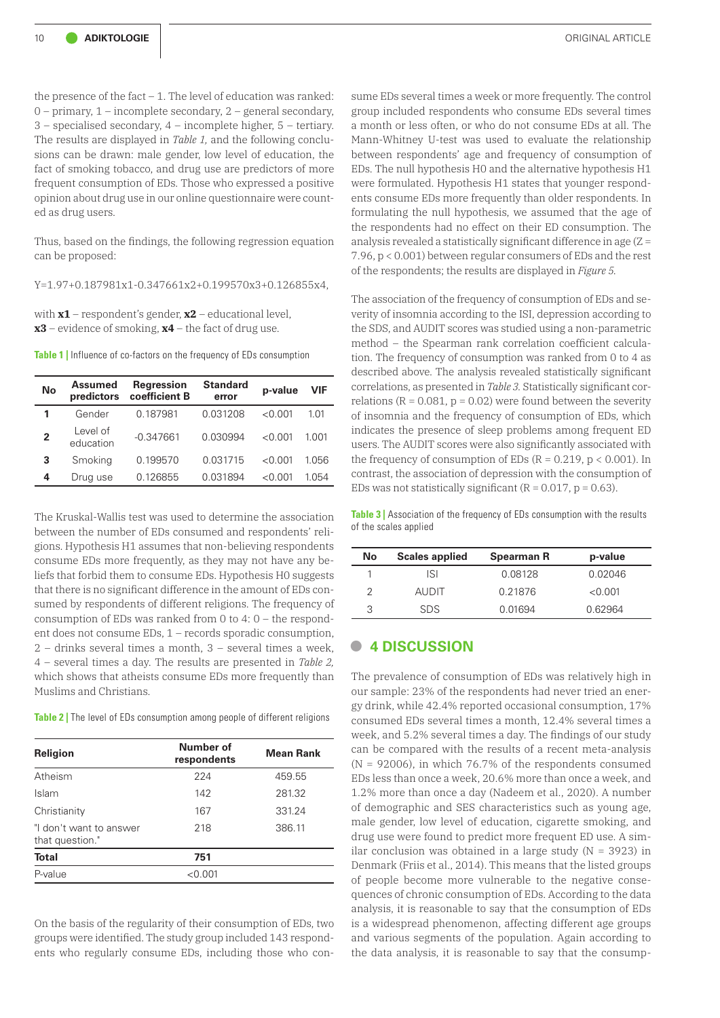the presence of the fact  $-1$ . The level of education was ranked: 0 – primary, 1 – incomplete secondary, 2 – general secondary, 3 – specialised secondary, 4 – incomplete higher, 5 – tertiary. The results are displayed in *Table 1,* and the following conclusions can be drawn: male gender, low level of education, the fact of smoking tobacco, and drug use are predictors of more frequent consumption of EDs. Those who expressed a positive opinion about drug use in our online questionnaire were counted as drug users.

Thus, based on the findings, the following regression equation can be proposed:

Y=1.97+0.187981x1-0.347661x2+0.199570x3+0.126855x4,

with **x1** – respondent's gender, **х2** – educational level, **х3** – evidence of smoking, **х4** – the fact of drug use.

**Table 1** | Influence of co-factors on the frequency of EDs consumption

| No             | <b>Assumed</b><br>predictors | Regression<br>coefficient B | <b>Standard</b><br>error | p-value  | VIF     |
|----------------|------------------------------|-----------------------------|--------------------------|----------|---------|
|                | Gender                       | 0.187981                    | 0.031208                 | $<$ 0.01 | 1.01    |
| $\overline{2}$ | Level of<br>education        | $-0.347661$                 | 0.030994                 | $<$ 0.01 | 1 0 0 1 |
| 3              | Smoking                      | 0.199570                    | 0.031715                 | < 0.001  | 1 056   |
| 4              | Drug use                     | 0.126855                    | 0.031894                 | < 0.001  | 1.054   |

The Kruskal-Wallis test was used to determine the association between the number of EDs consumed and respondents' religions. Hypothesis H1 assumes that non-believing respondents consume EDs more frequently, as they may not have any beliefs that forbid them to consume EDs. Hypothesis H0 suggests that there is no significant difference in the amount of EDs consumed by respondents of different religions. The frequency of consumption of EDs was ranked from 0 to 4: 0 – the respondent does not consume EDs, 1 – records sporadic consumption, 2 – drinks several times a month, 3 – several times a week, 4 – several times a day. The results are presented in *Table 2,* which shows that atheists consume EDs more frequently than Muslims and Christians.

**Table 2** | The level of EDs consumption among people of different religions

| <b>Religion</b>                            | <b>Number of</b><br>respondents | <b>Mean Rank</b> |  |
|--------------------------------------------|---------------------------------|------------------|--|
| Atheism                                    | 224                             | 459.55           |  |
| Islam                                      | 142                             | 281.32           |  |
| Christianity                               | 167                             | 331.24           |  |
| "I don't want to answer<br>that question." | 218                             | 386.11           |  |
| <b>Total</b>                               | 751                             |                  |  |
| P-value                                    | < 0.001                         |                  |  |

On the basis of the regularity of their consumption of EDs, two groups were identified. The study group included 143 respondents who regularly consume EDs, including those who consume EDs several times a week or more frequently. The control group included respondents who consume EDs several times a month or less often, or who do not consume EDs at all. The Mann-Whitney U-test was used to evaluate the relationship between respondents' age and frequency of consumption of EDs. The null hypothesis H0 and the alternative hypothesis H1 were formulated. Hypothesis H1 states that younger respondents consume EDs more frequently than older respondents. In formulating the null hypothesis, we assumed that the age of the respondents had no effect on their ED consumption. The analysis revealed a statistically significant difference in age (Z = 7.96, p < 0.001) between regular consumers of EDs and the rest of the respondents; the results are displayed in *Figure 5.*

The association of the frequency of consumption of EDs and severity of insomnia according to the ISI, depression according to the SDS, and AUDIT scores was studied using a non-parametric method – the Spearman rank correlation coefficient calculation. The frequency of consumption was ranked from 0 to 4 as described above. The analysis revealed statistically significant correlations, as presented in *Table 3.* Statistically significant correlations ( $R = 0.081$ ,  $p = 0.02$ ) were found between the severity of insomnia and the frequency of consumption of EDs, which indicates the presence of sleep problems among frequent ED users. The AUDIT scores were also significantly associated with the frequency of consumption of EDs  $(R = 0.219, p < 0.001)$ . In contrast, the association of depression with the consumption of EDs was not statistically significant ( $R = 0.017$ ,  $p = 0.63$ ).

**Table 3** | Association of the frequency of EDs consumption with the results of the scales applied

| No | <b>Scales applied</b> | <b>Spearman R</b> | p-value |
|----|-----------------------|-------------------|---------|
|    | ISI                   | 0.08128           | 0.02046 |
| 2  | <b>AUDIT</b>          | 0.21876           | < 0.001 |
| З  | <b>SDS</b>            | 0.01694           | 0.62964 |

#### **• 4 DISCUSSION**

The prevalence of consumption of EDs was relatively high in our sample: 23% of the respondents had never tried an energy drink, while 42.4% reported occasional consumption, 17% consumed EDs several times a month, 12.4% several times a week, and 5.2% several times a day. The findings of our study can be compared with the results of a recent meta-analysis  $(N = 92006)$ , in which 76.7% of the respondents consumed EDs less than once a week, 20.6% more than once a week, and 1.2% more than once a day (Nadeem et al., 2020). A number of demographic and SES characteristics such as young age, male gender, low level of education, cigarette smoking, and drug use were found to predict more frequent ED use. A similar conclusion was obtained in a large study ( $N = 3923$ ) in Denmark (Friis et al., 2014). This means that the listed groups of people become more vulnerable to the negative consequences of chronic consumption of EDs. According to the data analysis, it is reasonable to say that the consumption of EDs is a widespread phenomenon, affecting different age groups and various segments of the population. Again according to the data analysis, it is reasonable to say that the consump-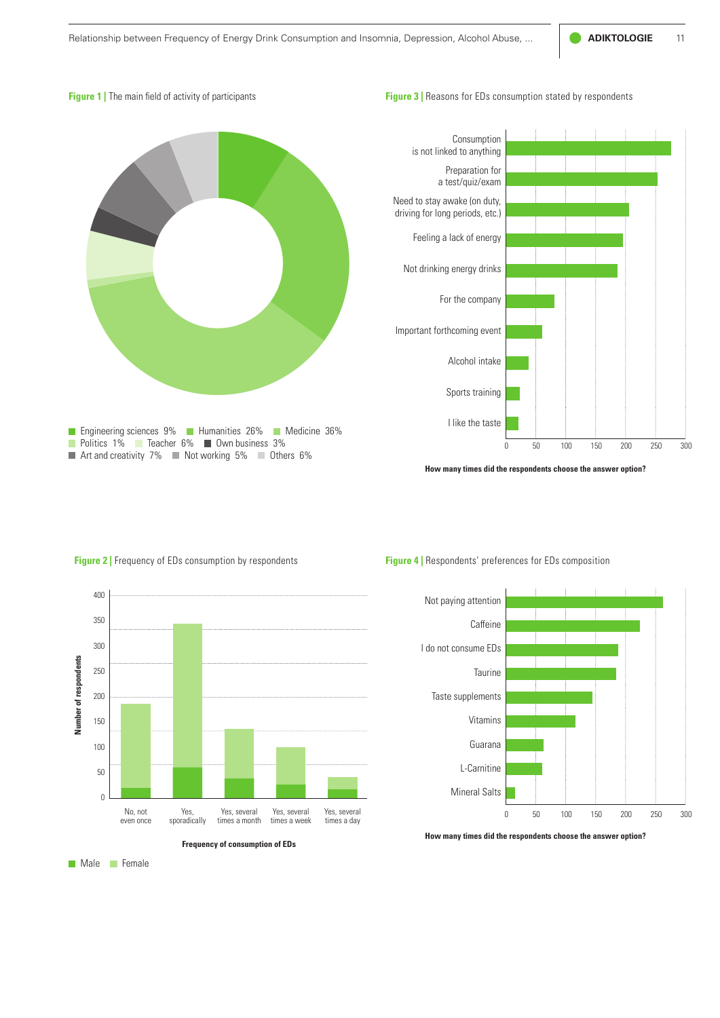#### **Figure 1** | The main field of activity of participants

#### **Figure 3** | Reasons for EDs consumption stated by respondents





**How many times did the respondents choose the answer option?**



#### **Figure 4 |** Respondents' preferences for EDs composition



**How many times did the respondents choose the answer option?**

**Male** Female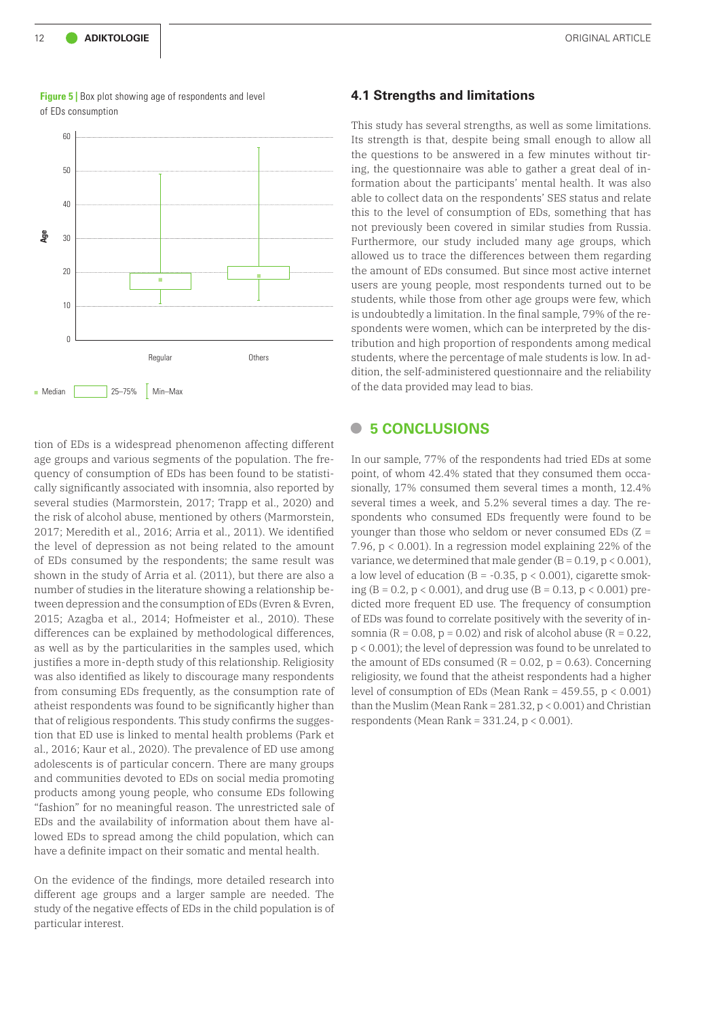

**Figure 5** | Box plot showing age of respondents and level of EDs consumption

tion of EDs is a widespread phenomenon affecting different age groups and various segments of the population. The frequency of consumption of EDs has been found to be statistically significantly associated with insomnia, also reported by several studies (Marmorstein, 2017; Trapp et al., 2020) and the risk of alcohol abuse, mentioned by others (Marmorstein, 2017; Meredith et al., 2016; Arria et al., 2011). We identified the level of depression as not being related to the amount of EDs consumed by the respondents; the same result was shown in the study of Arria et al. (2011), but there are also a number of studies in the literature showing a relationship between depression and the consumption of EDs (Evren & Evren, 2015; Azagba et al., 2014; Hofmeister et al., 2010). These differences can be explained by methodological differences, as well as by the particularities in the samples used, which justifies a more in-depth study of this relationship. Religiosity was also identified as likely to discourage many respondents from consuming EDs frequently, as the consumption rate of atheist respondents was found to be significantly higher than that of religious respondents. This study confirms the suggestion that ED use is linked to mental health problems (Park et al., 2016; Kaur et al., 2020). The prevalence of ED use among adolescents is of particular concern. There are many groups and communities devoted to EDs on social media promoting products among young people, who consume EDs following "fashion" for no meaningful reason. The unrestricted sale of EDs and the availability of information about them have allowed EDs to spread among the child population, which can have a definite impact on their somatic and mental health.

On the evidence of the findings, more detailed research into different age groups and a larger sample are needed. The study of the negative effects of EDs in the child population is of particular interest.

#### **4.1 Strengths and limitations**

This study has several strengths, as well as some limitations. Its strength is that, despite being small enough to allow all the questions to be answered in a few minutes without tiring, the questionnaire was able to gather a great deal of information about the participants' mental health. It was also able to collect data on the respondents' SES status and relate this to the level of consumption of EDs, something that has not previously been covered in similar studies from Russia. Furthermore, our study included many age groups, which allowed us to trace the differences between them regarding the amount of EDs consumed. But since most active internet users are young people, most respondents turned out to be students, while those from other age groups were few, which is undoubtedly a limitation. In the final sample, 79% of the respondents were women, which can be interpreted by the distribution and high proportion of respondents among medical students, where the percentage of male students is low. In addition, the self-administered questionnaire and the reliability of the data provided may lead to bias.

# **• 5 CONCLUSIONS**

In our sample, 77% of the respondents had tried EDs at some point, of whom 42.4% stated that they consumed them occasionally, 17% consumed them several times a month, 12.4% several times a week, and 5.2% several times a day. The respondents who consumed EDs frequently were found to be younger than those who seldom or never consumed EDs (Z = 7.96, p < 0.001). In a regression model explaining 22% of the variance, we determined that male gender  $(B = 0.19, p < 0.001)$ , a low level of education ( $B = -0.35$ ,  $p < 0.001$ ), cigarette smoking (B = 0.2,  $p < 0.001$ ), and drug use (B = 0.13,  $p < 0.001$ ) predicted more frequent ED use. The frequency of consumption of EDs was found to correlate positively with the severity of insomnia ( $R = 0.08$ ,  $p = 0.02$ ) and risk of alcohol abuse ( $R = 0.22$ , p < 0.001); the level of depression was found to be unrelated to the amount of EDs consumed ( $R = 0.02$ ,  $p = 0.63$ ). Concerning religiosity, we found that the atheist respondents had a higher level of consumption of EDs (Mean Rank =  $459.55$ ,  $p < 0.001$ ) than the Muslim (Mean Rank =  $281.32$ ,  $p < 0.001$ ) and Christian respondents (Mean Rank = 331.24, p < 0.001).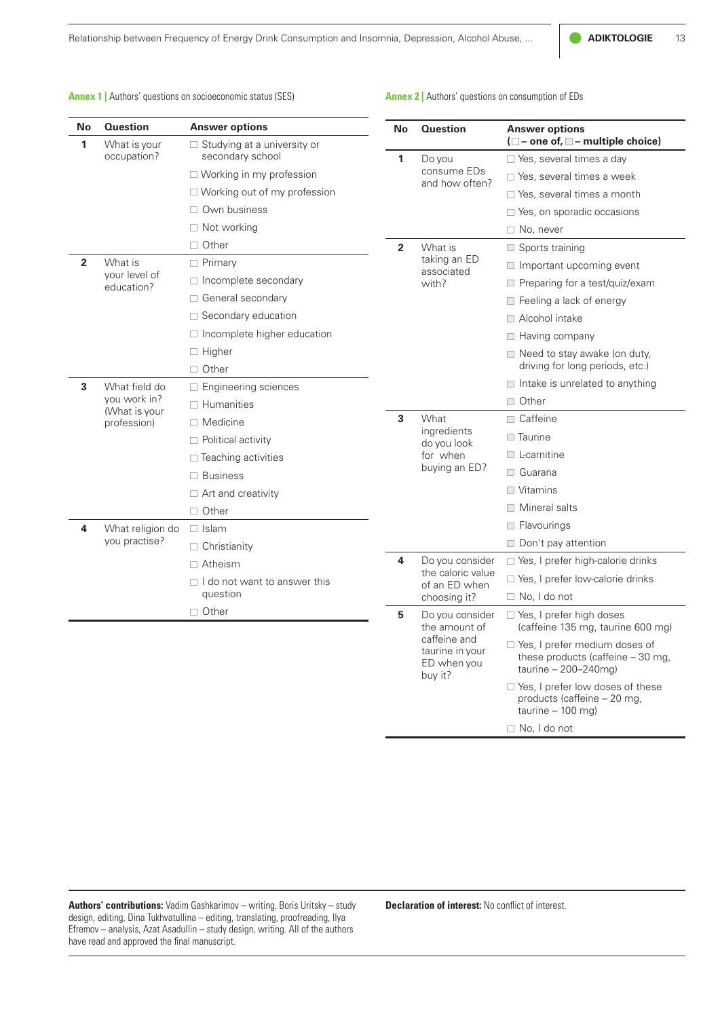Relationship between Frequency of Energy Drink Consumption and Insomnia, Depression, Alcohol Abuse, ... **ADIKTOLOGIE** 13

**Annex 2 |** Authors' questions on consumption of EDs

**Annex 1** | Authors' questions on socioeconomic status (SES)

| No | <b>Question</b><br><b>Answer options</b> |                                                        | No                                                        | <b>Question</b>                                                 | <b>Answer options</b><br>$(\Box$ - one of, $\Box$ - multiple choice)                            |  |
|----|------------------------------------------|--------------------------------------------------------|-----------------------------------------------------------|-----------------------------------------------------------------|-------------------------------------------------------------------------------------------------|--|
| 1  | What is your<br>occupation?              | $\Box$ Studying at a university or<br>secondary school | 1                                                         | Do you<br>consume EDs<br>and how often?                         | □ Yes, several times a day                                                                      |  |
|    |                                          | $\Box$ Working in my profession                        |                                                           |                                                                 | $\Box$ Yes, several times a week                                                                |  |
|    |                                          | $\Box$ Working out of my profession                    |                                                           |                                                                 | $\Box$ Yes, several times a month                                                               |  |
|    |                                          | Own business                                           |                                                           |                                                                 | □ Yes, on sporadic occasions                                                                    |  |
|    |                                          | $\Box$ Not working                                     |                                                           |                                                                 | $\Box$ No, never                                                                                |  |
|    |                                          | $\Box$ Other                                           | $\overline{2}$                                            | What is                                                         | $\Box$ Sports training                                                                          |  |
| 2  | What is                                  | $\Box$ Primary                                         |                                                           | taking an ED<br>associated<br>with?                             | $\Box$ Important upcoming event                                                                 |  |
|    | your level of                            | □ Incomplete secondary                                 |                                                           |                                                                 | Preparing for a test/quiz/exam                                                                  |  |
|    | education?                               | □ General secondary                                    |                                                           |                                                                 | Feeling a lack of energy                                                                        |  |
|    |                                          | □ Secondary education                                  |                                                           |                                                                 | $\Box$ Alcohol intake                                                                           |  |
|    |                                          | □ Incomplete higher education                          |                                                           |                                                                 | $\Box$ Having company                                                                           |  |
|    |                                          | □ Higher                                               |                                                           |                                                                 | $\Box$ Need to stay awake (on duty,                                                             |  |
|    |                                          | $\Box$ Other                                           |                                                           |                                                                 | driving for long periods, etc.)                                                                 |  |
| 3  | What field do                            | □ Engineering sciences                                 |                                                           |                                                                 | $\Box$ Intake is unrelated to anything                                                          |  |
|    | you work in?                             | $\Box$ Humanities                                      |                                                           |                                                                 | $\Box$ Other                                                                                    |  |
|    | (What is your<br>profession)             | $\Box$ Medicine                                        | 3                                                         | What<br>ingredients<br>do you look<br>for when<br>buying an ED? | □ Caffeine                                                                                      |  |
|    |                                          | $\Box$ Political activity                              |                                                           |                                                                 | $\Box$ Taurine                                                                                  |  |
|    |                                          | $\Box$ Teaching activities                             |                                                           |                                                                 | $\Box$ L-carnitine                                                                              |  |
|    |                                          | $\Box$ Business                                        |                                                           |                                                                 | □ Guarana                                                                                       |  |
|    |                                          | $\Box$ Art and creativity                              |                                                           |                                                                 | $\Box$ Vitamins                                                                                 |  |
|    |                                          | $\Box$ Other                                           |                                                           |                                                                 | $\Box$ Mineral salts                                                                            |  |
| 4  | What religion do                         | $\Box$ Islam                                           |                                                           |                                                                 | $\Box$ Flavourings                                                                              |  |
|    | you practise?                            | $\Box$ Christianity                                    |                                                           |                                                                 | $\Box$ Don't pay attention                                                                      |  |
|    |                                          | $\Box$ Atheism                                         | 4                                                         | Do you consider<br>the caloric value<br>of an ED when           | □ Yes, I prefer high-calorie drinks                                                             |  |
|    |                                          | $\Box$ I do not want to answer this                    |                                                           |                                                                 | □ Yes, I prefer low-calorie drinks                                                              |  |
|    |                                          | question                                               |                                                           | choosing it?                                                    | $\Box$ No, I do not                                                                             |  |
|    | □ Other<br>5                             |                                                        | Do you consider<br>the amount of                          | □ Yes, I prefer high doses<br>(caffeine 135 mg, taurine 600 mg) |                                                                                                 |  |
|    |                                          |                                                        | caffeine and<br>taurine in your<br>ED when you<br>buy it? |                                                                 | □ Yes, I prefer medium doses of<br>these products (caffeine - 30 mg,<br>$taurine - 200 - 240mg$ |  |
|    |                                          |                                                        |                                                           |                                                                 | □ Yes, I prefer low doses of these<br>products (caffeine - 20 mg                                |  |

**Authors' contributions:** Vadim Gashkarimov – writing, Boris Uritsky – study design, editing, Dina Tukhvatullina – editing, translating, proofreading, Ilya Efremov – analysis, Azat Asadullin – study design, writing. All of the authors have read and approved the final manuscript.

**Declaration of interest:** No conflict of interest.

taurine – 100 mg)

No, I do not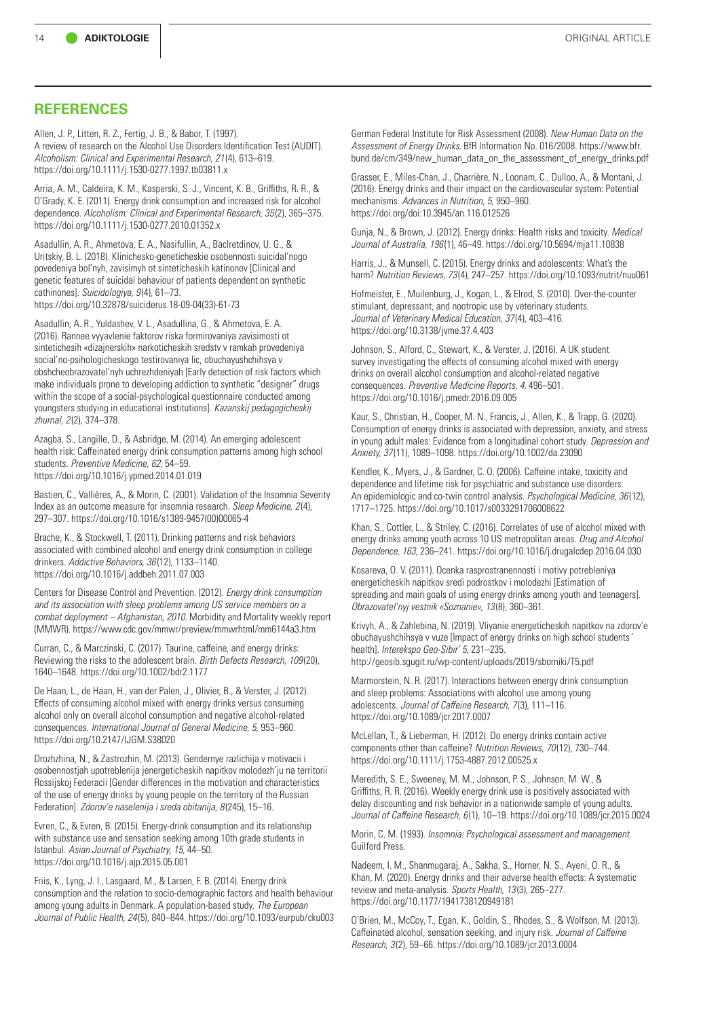# **REFERENCES**

Allen, J. P., Litten, R. Z., Fertig, J. B., & Babor, T. (1997). A review of research on the Alcohol Use Disorders Identification Test (AUDIT). *Alcoholism: Clinical and Experimental Research, 21* (4), 613–619. <https://doi.org/10.1111/j.1530-0277.1997.tb03811.x>

Arria, A. M., Caldeira, K. M., Kasperski, S. J., Vincent, K. B., Griffiths, R. R., & O'Grady, K. E. (2011). Energy drink consumption and increased risk for alcohol dependence. *Alcoholism: Clinical and Experimental Research, 35* (2), 365–375. <https://doi.org/10.1111/j.1530-0277.2010.01352.x>

Asadullin, A. R., Ahmetova, E. A., Nasifullin, A., Baclretdinov, U. G., & Uritskiy, B. L. (2018). Klinichesko-geneticheskie osobennosti suicidal'nogo povedeniya bol'nyh, zavisimyh ot sinteticheskih katinonov [Clinical and genetic features of suicidal behaviour of patients dependent on synthetic cathinones]. *Suicidologiya, 9* (4), 61–73. [https://doi.org/10.32878/suiciderus.18-09-04\(33\)-61-73](https://doi.org/10.32878/suiciderus.18-09-04(33)-61-73)

Asadullin, A. R., [Yuldashev, V.](https://www.elibrary.ru/author_items.asp?authorid=207334) L., [Asadullina, G.](https://www.elibrary.ru/author_items.asp?authorid=704670), & Ahrnetova, E. A. (2016). Rannee vyyavlenie faktorov riska formirovaniya zavisimosti ot sintetichesih «dizajnerskih» narkoticheskih sredstv v ramkah provedeniya social'no-psihologicheskogo testirovaniya lic, obuchayushchihsya v obshcheobrazovatel'nyh uchrezhdeniyah [Early detection of risk factors which make individuals prone to developing addiction to synthetic "designer" drugs within the scope of a social-psychological questionnaire conducted among youngsters studying in educational institutions]. *Kazanskij pedagogicheskij zhurnal, 2* (2), 374–378.

Azagba, S., Langille, D., & Asbridge, M. (2014). An emerging adolescent health risk: Caffeinated energy drink consumption patterns among high school students. *Preventive Medicine, 62,* 54–59. <https://doi.org/10.1016/j.ypmed.2014.01.019>

Bastien, C., Vallières, A., & Morin, C. (2001). Validation of the Insomnia Severity Index as an outcome measure for insomnia research. *Sleep Medicine, 2* (4), 297–307. [https://doi.org/10.1016/s1389-9457\(00\)00065-4](https://doi.org/10.1016/s1389-9457(00)00065-4)

Brache, K., & Stockwell, T. (2011). Drinking patterns and risk behaviors associated with combined alcohol and energy drink consumption in college drinkers. *Addictive Behaviors, 36* (12), 1133–1140. <https://doi.org/10.1016/j.addbeh.2011.07.003>

Centers for Disease Control and Prevention. (2012). *Energy drink consumption and its association with sleep problems among US service members on a combat deployment – Afghanistan, 2010.* Morbidity and Mortality weekly report (MMWR).<https://www.cdc.gov/mmwr/preview/mmwrhtml/mm6144a3.htm>

Curran, C., & Marczinski, C. (2017). Taurine, caffeine, and energy drinks: Reviewing the risks to the adolescent brain. *Birth Defects Research, 109* (20), 1640–1648. <https://doi.org/10.1002/bdr2.1177>

De Haan, L., de Haan, H., van der Palen, J., Olivier, B., & Verster, J. (2012). Effects of consuming alcohol mixed with energy drinks versus consuming alcohol only on overall alcohol consumption and negative alcohol-related consequences. *International Journal of General Medicine, 5,* 953–960. <https://doi.org/10.2147/IJGM.S38020>

Drozhzhina, N., & Zastrozhin, M. (2013). Gendernye razlichija v motivacii i osobennostjah upotreblenija jenergeticheskih napitkov molodezh'ju na territorii Rossijskoj Federacii [Gender differences in the motivation and characteristics of the use of energy drinks by young people on the territory of the Russian Federation]. *Zdorov'e naselenija i sreda obitanija, 8* (245), 15–16.

Evren, C., & Evren, B. (2015). Energy-drink consumption and its relationship with substance use and sensation seeking among 10th grade students in Istanbul. *Asian Journal of Psychiatry, 15,* 44–50. <https://doi.org/10.1016/j.ajp.2015.05.001>

Friis, K., Lyng, J. I., Lasgaard, M., & Larsen, F. B. (2014). Energy drink consumption and the relation to socio-demographic factors and health behaviour among young adults in Denmark. A population-based study. *The European Journal of Public Health, 24* (5), 840–844.<https://doi.org/10.1093/eurpub/cku003>

German Federal Institute for Risk Assessment (2008). *New Human Data on the Assessment of Energy Drinks.* BfR Information No. 016/2008. [https://www.bfr.](https://www.bfr.bund.de/cm/349/new_human_data_on_the_assessment_of_energy_drinks.pdf) [bund.de/cm/349/new\\_human\\_data\\_on\\_the\\_assessment\\_of\\_energy\\_drinks.pdf](https://www.bfr.bund.de/cm/349/new_human_data_on_the_assessment_of_energy_drinks.pdf)

Grasser, E., Miles-Chan, J., Charrière, N., Loonam, C., Dulloo, A., & Montani, J. (2016). Energy drinks and their impact on the cardiovascular system: Potential mechanisms. *Advances in Nutrition, 5,* 950–960. <https://doi.org/doi:10.3945/an.116.012526>

Gunja, N., & Brown, J. (2012). Energy drinks: Health risks and toxicity. *Medical Journal of Australia, 196* (1), 46–49.<https://doi.org/10.5694/mja11.10838>

Harris, J., & Munsell, C. (2015). Energy drinks and adolescents: What's the harm? *Nutrition Reviews, 73* (4), 247–257. <https://doi.org/10.1093/nutrit/nuu061>

Hofmeister, E., Muilenburg, J., Kogan, L., & Elrod, S. (2010). Over-the-counter stimulant, depressant, and nootropic use by veterinary students. *Journal of Veterinary Medical Education, 37* (4), 403–416. <https://doi.org/10.3138/jvme.37.4.403>

Johnson, S., Alford, C., Stewart, K., & Verster, J. (2016). A UK student survey investigating the effects of consuming alcohol mixed with energy drinks on overall alcohol consumption and alcohol-related negative consequences. *Preventive Medicine Reports, 4,* 496–501. <https://doi.org/10.1016/j.pmedr.2016.09.005>

Kaur, S., Christian, H., Cooper, M. N., Francis, J., Allen, K., & Trapp, G. (2020). Consumption of energy drinks is associated with depression, anxiety, and stress in young adult males: Evidence from a longitudinal cohort study. *Depression and Anxiety, 37* (11), 1089–1098. <https://doi.org/10.1002/da.23090>

Kendler, K., Myers, J., & Gardner, C. O. (2006). Caffeine intake, toxicity and dependence and lifetime risk for psychiatric and substance use disorders: An epidemiologic and co-twin control analysis. *Psychological Medicine, 36* (12), 1717–1725. <https://doi.org/10.1017/s0033291706008622>

Khan, S., Cottler, L., & Striley, C. (2016). Correlates of use of alcohol mixed with energy drinks among youth across 10 US metropolitan areas. *Drug and Alcohol Dependence, 163,* 236–241.<https://doi.org/10.1016/j.drugalcdep.2016.04.030>

Kosareva, O. V. (2011). Ocenka rasprostranennosti i motivy potrebleniya energeticheskih napitkov sredi podrostkov i molodezhi [Estimation of spreading and main goals of using energy drinks among youth and teenagers]. *Obrazovatel'nyj vestnik «Soznanie», 13* (8), 360–361.

Krivyh, A., & Zahlebina, N. (2019). Vliyanie energeticheskih napitkov na zdorov'e obuchayushchihsya v vuze [Impact of energy drinks on high school students*'*  health]. *Interekspo Geo-Sibir' 5,* 231–235. <http://geosib.sgugit.ru/wp-content/uploads/2019/sborniki/T5.pdf>

Marmorstein, N. R. (2017). Interactions between energy drink consumption and sleep problems: Associations with alcohol use among young adolescents. *Journal of Caffeine Research, 7* (3), 111–116. <https://doi.org/10.1089/jcr.2017.0007>

McLellan, T., & Lieberman, H. (2012). Do energy drinks contain active components other than caffeine? *Nutrition Reviews, 70* (12), 730–744. <https://doi.org/10.1111/j.1753-4887.2012.00525.x>

Meredith, S. E., Sweeney, M. M., Johnson, P. S., Johnson, M. W., & Griffiths, R. R. (2016). Weekly energy drink use is positively associated with delay discounting and risk behavior in a nationwide sample of young adults. *Journal of Caffeine Research, 6* (1), 10–19.<https://doi.org/10.1089/jcr.2015.0024>

Morin, C. M. (1993). *Insomnia: Psychological assessment and management.* Guilford Press.

Nadeem, I. M., Shanmugaraj, A., Sakha, S., Horner, N. S., Ayeni, O. R., & Khan, M. (2020). Energy drinks and their adverse health effects: A systematic review and meta-analysis. *Sports Health, 13* (3), 265–277. <https://doi.org/10.1177/1941738120949181>

O'Brien, M., McCoy, T., Egan, K., Goldin, S., Rhodes, S., & Wolfson, M. (2013). Caffeinated alcohol, sensation seeking, and injury risk. *Journal of Caffeine Research, 3* (2), 59–66. <https://doi.org/10.1089/jcr.2013.0004>